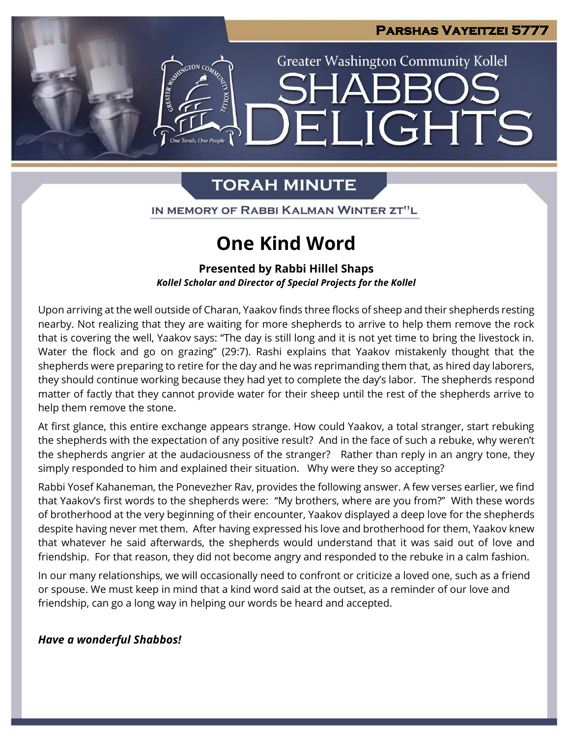

**Greater Washington Community Kollel** 

LIGHT

## **TORAH MINUTE**

GTON CO

IN MEMORY OF RABBI KALMAN WINTER ZT"L

# **One Kind Word**

**Presented by Rabbi Hillel Shaps** *Kollel Scholar and Director of Special Projects for the Kollel*

Upon arriving at the well outside of Charan, Yaakov finds three flocks of sheep and their shepherds resting nearby. Not realizing that they are waiting for more shepherds to arrive to help them remove the rock that is covering the well, Yaakov says: "The day is still long and it is not yet time to bring the livestock in. Water the flock and go on grazing" (29:7). Rashi explains that Yaakov mistakenly thought that the shepherds were preparing to retire for the day and he was reprimanding them that, as hired day laborers, they should continue working because they had yet to complete the day's labor. The shepherds respond matter of factly that they cannot provide water for their sheep until the rest of the shepherds arrive to help them remove the stone.

At first glance, this entire exchange appears strange. How could Yaakov, a total stranger, start rebuking the shepherds with the expectation of any positive result? And in the face of such a rebuke, why weren't the shepherds angrier at the audaciousness of the stranger? Rather than reply in an angry tone, they simply responded to him and explained their situation. Why were they so accepting?

Rabbi Yosef Kahaneman, the Ponevezher Rav, provides the following answer. A few verses earlier, we find that Yaakov's first words to the shepherds were: "My brothers, where are you from?" With these words of brotherhood at the very beginning of their encounter, Yaakov displayed a deep love for the shepherds despite having never met them. After having expressed his love and brotherhood for them, Yaakov knew that whatever he said afterwards, the shepherds would understand that it was said out of love and friendship. For that reason, they did not become angry and responded to the rebuke in a calm fashion.

In our many relationships, we will occasionally need to confront or criticize a loved one, such as a friend or spouse. We must keep in mind that a kind word said at the outset, as a reminder of our love and friendship, can go a long way in helping our words be heard and accepted.

### *Have a wonderful Shabbos!*